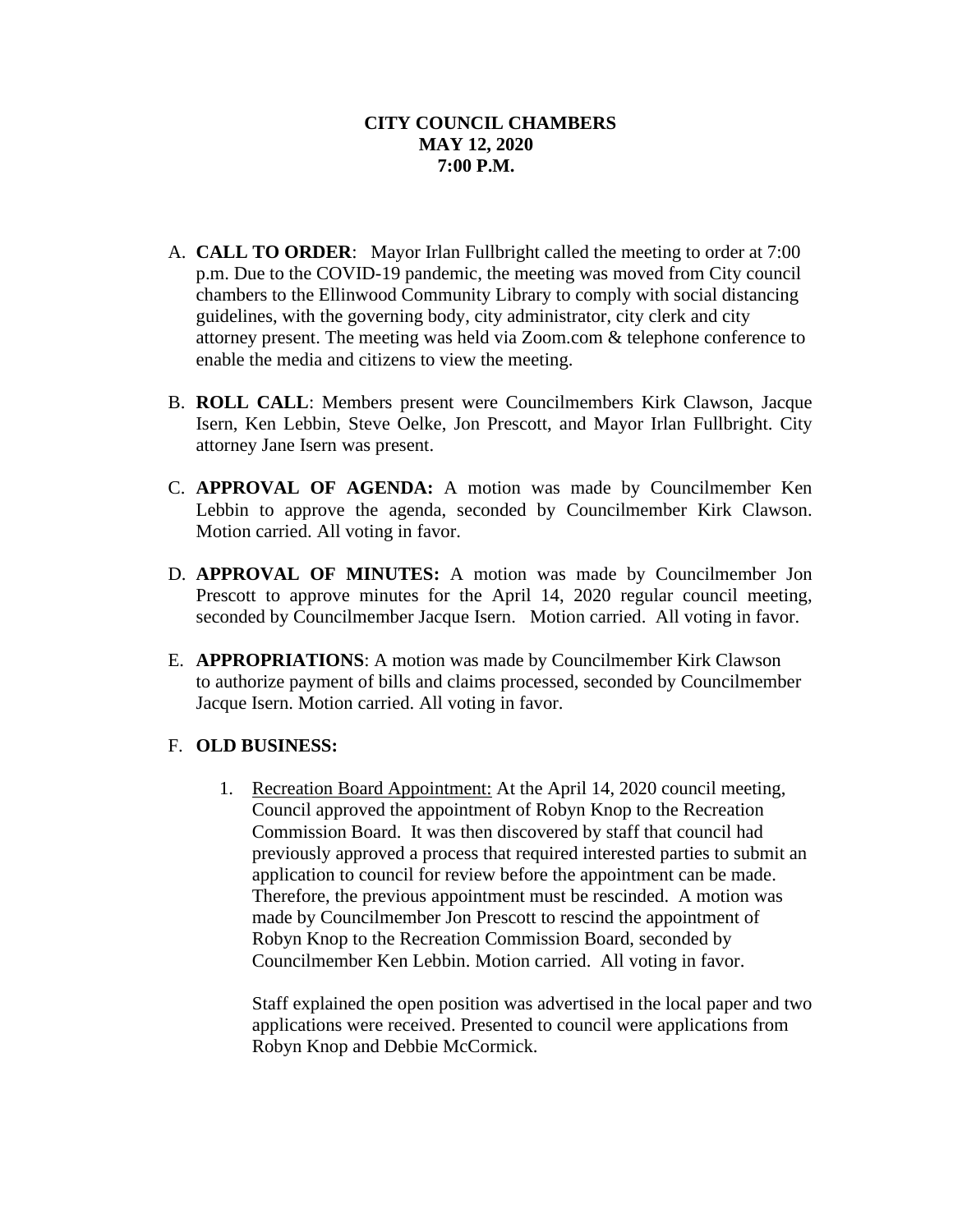- A. **CALL TO ORDER**: Mayor Irlan Fullbright called the meeting to order at 7:00 p.m. Due to the COVID-19 pandemic, the meeting was moved from City council chambers to the Ellinwood Community Library to comply with social distancing guidelines, with the governing body, city administrator, city clerk and city attorney present. The meeting was held via Zoom.com & telephone conference to enable the media and citizens to view the meeting.
- B. **ROLL CALL**: Members present were Councilmembers Kirk Clawson, Jacque Isern, Ken Lebbin, Steve Oelke, Jon Prescott, and Mayor Irlan Fullbright. City attorney Jane Isern was present.
- C. **APPROVAL OF AGENDA:** A motion was made by Councilmember Ken Lebbin to approve the agenda, seconded by Councilmember Kirk Clawson. Motion carried. All voting in favor.
- D. **APPROVAL OF MINUTES:** A motion was made by Councilmember Jon Prescott to approve minutes for the April 14, 2020 regular council meeting, seconded by Councilmember Jacque Isern. Motion carried. All voting in favor.
- E. **APPROPRIATIONS**: A motion was made by Councilmember Kirk Clawson to authorize payment of bills and claims processed, seconded by Councilmember Jacque Isern. Motion carried. All voting in favor.

## F. **OLD BUSINESS:**

1. Recreation Board Appointment: At the April 14, 2020 council meeting, Council approved the appointment of Robyn Knop to the Recreation Commission Board. It was then discovered by staff that council had previously approved a process that required interested parties to submit an application to council for review before the appointment can be made. Therefore, the previous appointment must be rescinded. A motion was made by Councilmember Jon Prescott to rescind the appointment of Robyn Knop to the Recreation Commission Board, seconded by Councilmember Ken Lebbin. Motion carried. All voting in favor.

Staff explained the open position was advertised in the local paper and two applications were received. Presented to council were applications from Robyn Knop and Debbie McCormick.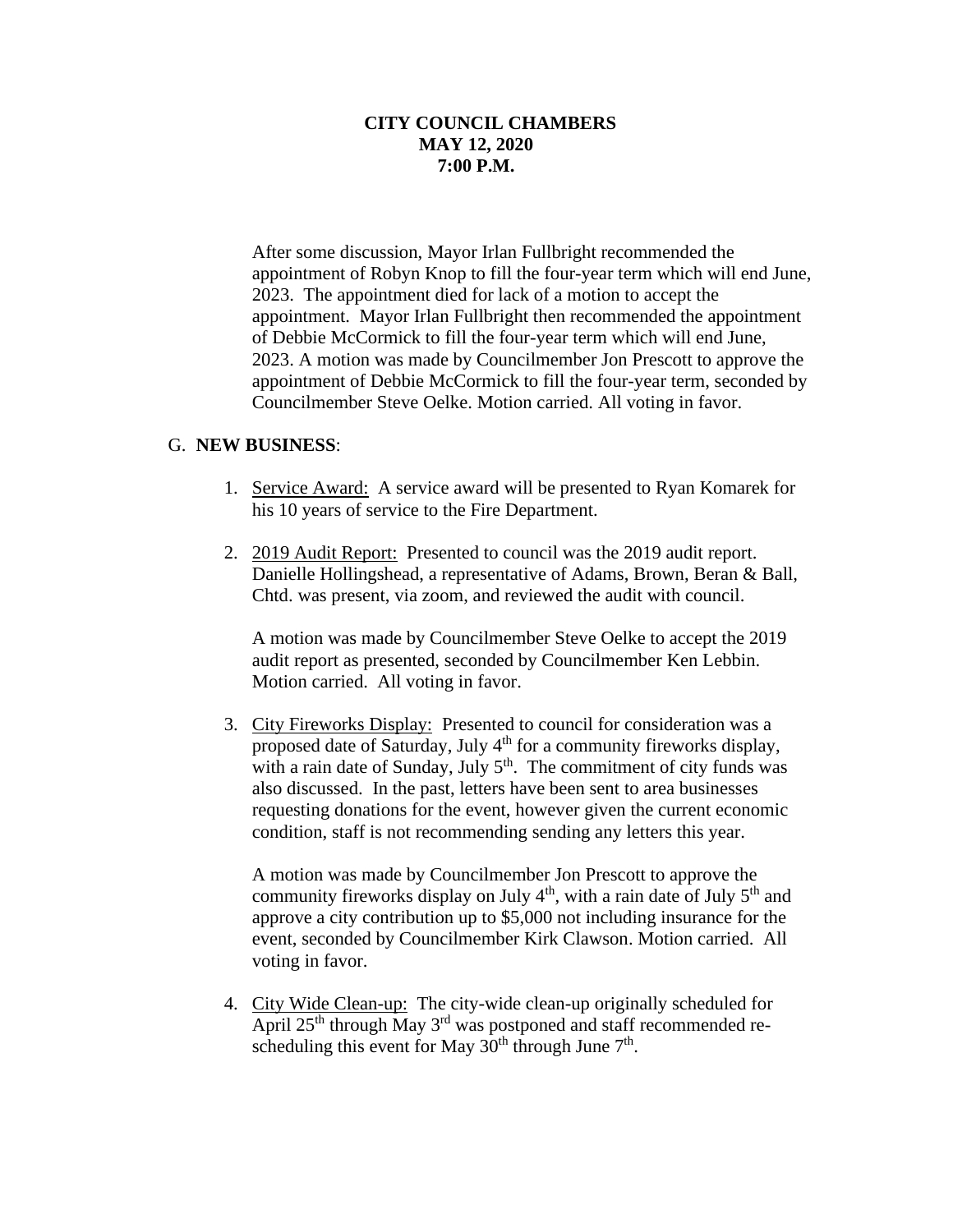After some discussion, Mayor Irlan Fullbright recommended the appointment of Robyn Knop to fill the four-year term which will end June, 2023. The appointment died for lack of a motion to accept the appointment. Mayor Irlan Fullbright then recommended the appointment of Debbie McCormick to fill the four-year term which will end June, 2023. A motion was made by Councilmember Jon Prescott to approve the appointment of Debbie McCormick to fill the four-year term, seconded by Councilmember Steve Oelke. Motion carried. All voting in favor.

## G. **NEW BUSINESS**:

- 1. Service Award: A service award will be presented to Ryan Komarek for his 10 years of service to the Fire Department.
- 2. 2019 Audit Report: Presented to council was the 2019 audit report. Danielle Hollingshead, a representative of Adams, Brown, Beran & Ball, Chtd. was present, via zoom, and reviewed the audit with council.

A motion was made by Councilmember Steve Oelke to accept the 2019 audit report as presented, seconded by Councilmember Ken Lebbin. Motion carried. All voting in favor.

3. City Fireworks Display: Presented to council for consideration was a proposed date of Saturday, July 4<sup>th</sup> for a community fireworks display, with a rain date of Sunday, July  $5<sup>th</sup>$ . The commitment of city funds was also discussed. In the past, letters have been sent to area businesses requesting donations for the event, however given the current economic condition, staff is not recommending sending any letters this year.

A motion was made by Councilmember Jon Prescott to approve the community fireworks display on July  $4<sup>th</sup>$ , with a rain date of July  $5<sup>th</sup>$  and approve a city contribution up to \$5,000 not including insurance for the event, seconded by Councilmember Kirk Clawson. Motion carried. All voting in favor.

4. City Wide Clean-up: The city-wide clean-up originally scheduled for April  $25<sup>th</sup>$  through May  $3<sup>rd</sup>$  was postponed and staff recommended rescheduling this event for May  $30<sup>th</sup>$  through June  $7<sup>th</sup>$ .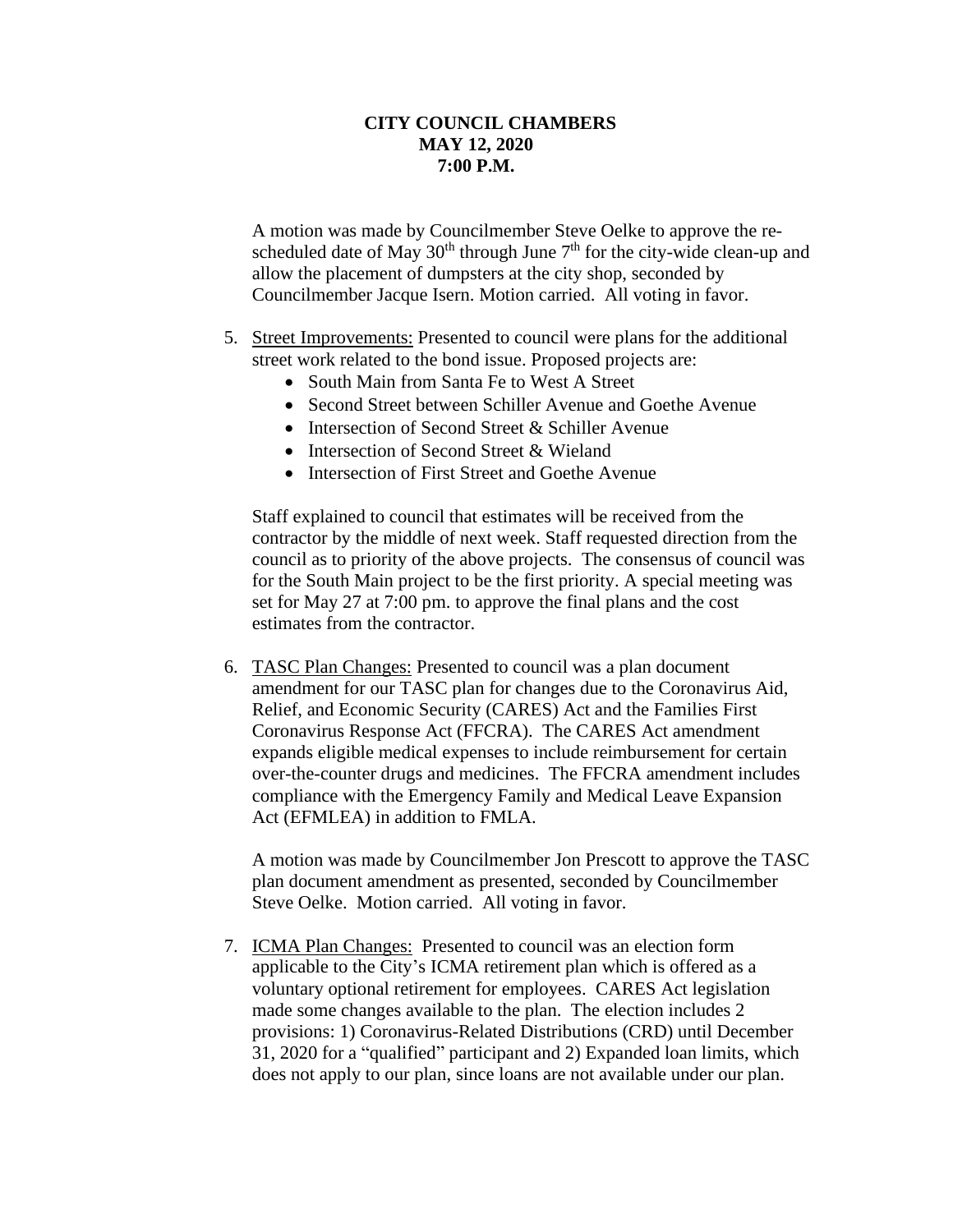A motion was made by Councilmember Steve Oelke to approve the rescheduled date of May  $30<sup>th</sup>$  through June  $7<sup>th</sup>$  for the city-wide clean-up and allow the placement of dumpsters at the city shop, seconded by Councilmember Jacque Isern. Motion carried. All voting in favor.

- 5. Street Improvements: Presented to council were plans for the additional street work related to the bond issue. Proposed projects are:
	- South Main from Santa Fe to West A Street
	- Second Street between Schiller Avenue and Goethe Avenue
	- Intersection of Second Street & Schiller Avenue
	- Intersection of Second Street & Wieland
	- Intersection of First Street and Goethe Avenue

Staff explained to council that estimates will be received from the contractor by the middle of next week. Staff requested direction from the council as to priority of the above projects. The consensus of council was for the South Main project to be the first priority. A special meeting was set for May 27 at 7:00 pm. to approve the final plans and the cost estimates from the contractor.

6. TASC Plan Changes: Presented to council was a plan document amendment for our TASC plan for changes due to the Coronavirus Aid, Relief, and Economic Security (CARES) Act and the Families First Coronavirus Response Act (FFCRA). The CARES Act amendment expands eligible medical expenses to include reimbursement for certain over-the-counter drugs and medicines. The FFCRA amendment includes compliance with the Emergency Family and Medical Leave Expansion Act (EFMLEA) in addition to FMLA.

A motion was made by Councilmember Jon Prescott to approve the TASC plan document amendment as presented, seconded by Councilmember Steve Oelke. Motion carried. All voting in favor.

7. ICMA Plan Changes: Presented to council was an election form applicable to the City's ICMA retirement plan which is offered as a voluntary optional retirement for employees. CARES Act legislation made some changes available to the plan. The election includes 2 provisions: 1) Coronavirus-Related Distributions (CRD) until December 31, 2020 for a "qualified" participant and 2) Expanded loan limits, which does not apply to our plan, since loans are not available under our plan.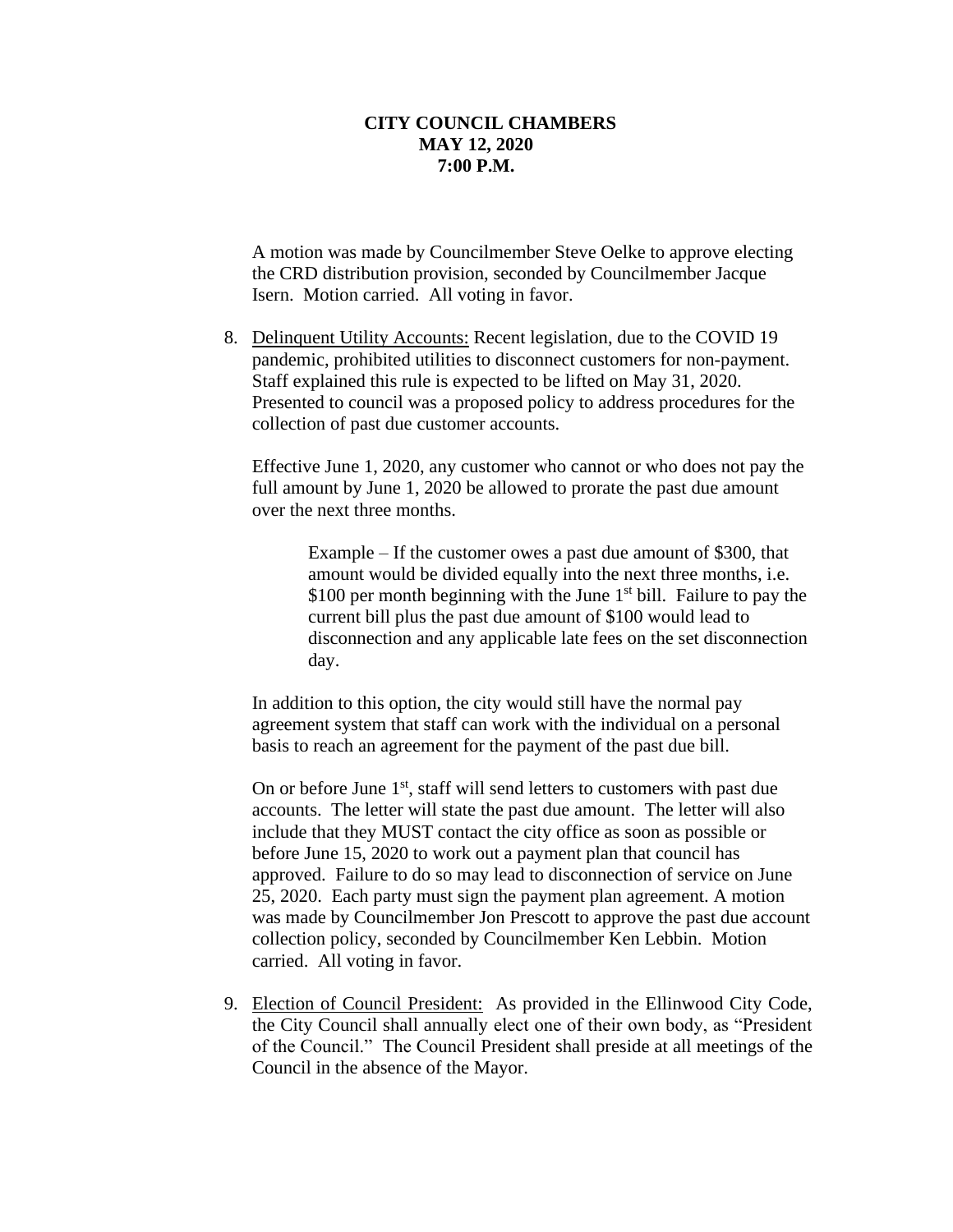A motion was made by Councilmember Steve Oelke to approve electing the CRD distribution provision, seconded by Councilmember Jacque Isern. Motion carried. All voting in favor.

8. Delinquent Utility Accounts: Recent legislation, due to the COVID 19 pandemic, prohibited utilities to disconnect customers for non-payment. Staff explained this rule is expected to be lifted on May 31, 2020. Presented to council was a proposed policy to address procedures for the collection of past due customer accounts.

Effective June 1, 2020, any customer who cannot or who does not pay the full amount by June 1, 2020 be allowed to prorate the past due amount over the next three months.

> Example – If the customer owes a past due amount of \$300, that amount would be divided equally into the next three months, i.e. \$100 per month beginning with the June  $1<sup>st</sup>$  bill. Failure to pay the current bill plus the past due amount of \$100 would lead to disconnection and any applicable late fees on the set disconnection day.

In addition to this option, the city would still have the normal pay agreement system that staff can work with the individual on a personal basis to reach an agreement for the payment of the past due bill.

On or before June  $1<sup>st</sup>$ , staff will send letters to customers with past due accounts. The letter will state the past due amount. The letter will also include that they MUST contact the city office as soon as possible or before June 15, 2020 to work out a payment plan that council has approved. Failure to do so may lead to disconnection of service on June 25, 2020. Each party must sign the payment plan agreement. A motion was made by Councilmember Jon Prescott to approve the past due account collection policy, seconded by Councilmember Ken Lebbin. Motion carried. All voting in favor.

9. Election of Council President: As provided in the Ellinwood City Code, the City Council shall annually elect one of their own body, as "President of the Council." The Council President shall preside at all meetings of the Council in the absence of the Mayor.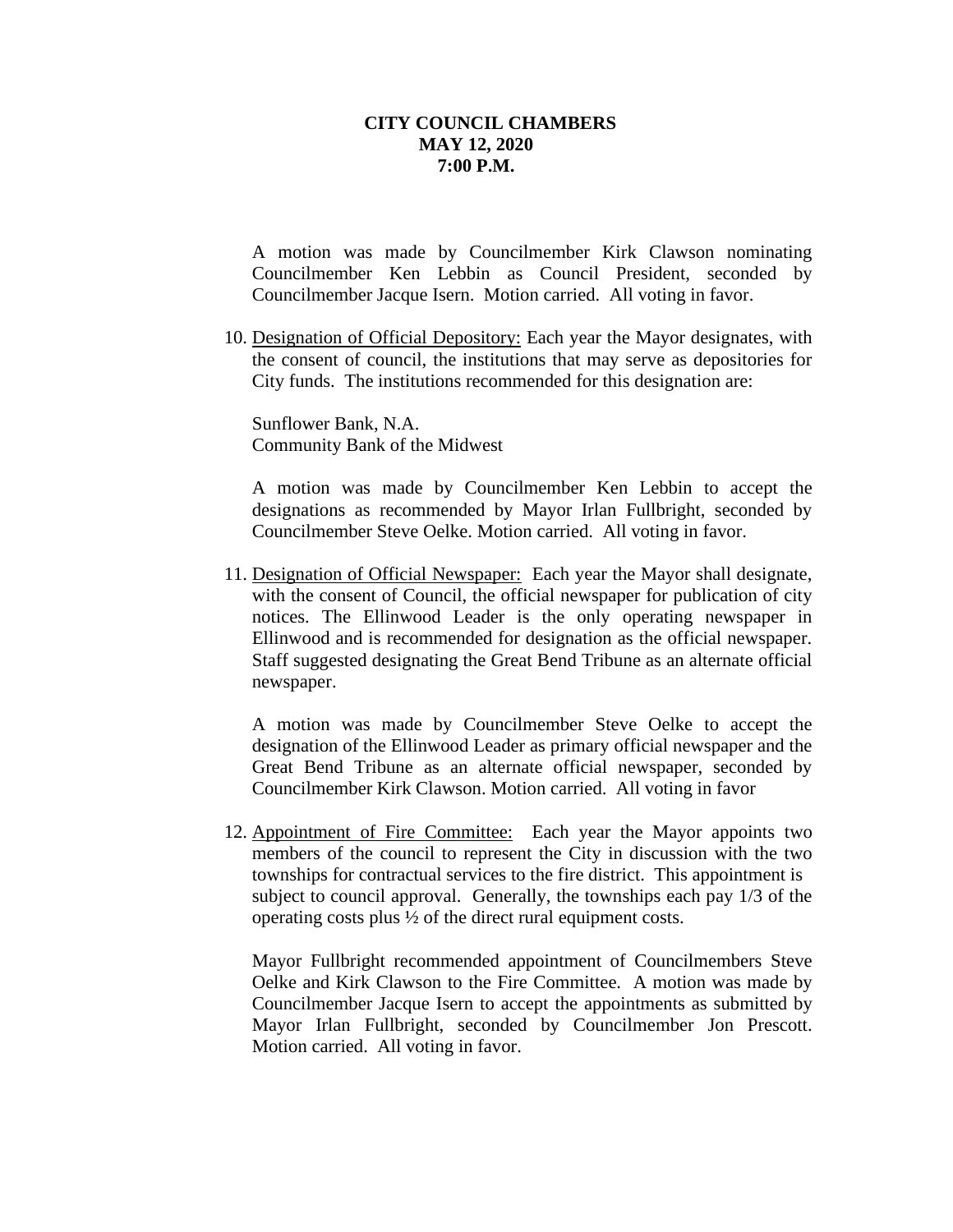A motion was made by Councilmember Kirk Clawson nominating Councilmember Ken Lebbin as Council President, seconded by Councilmember Jacque Isern. Motion carried. All voting in favor.

10. Designation of Official Depository: Each year the Mayor designates, with the consent of council, the institutions that may serve as depositories for City funds. The institutions recommended for this designation are:

Sunflower Bank, N.A. Community Bank of the Midwest

A motion was made by Councilmember Ken Lebbin to accept the designations as recommended by Mayor Irlan Fullbright, seconded by Councilmember Steve Oelke. Motion carried. All voting in favor.

11. Designation of Official Newspaper: Each year the Mayor shall designate, with the consent of Council, the official newspaper for publication of city notices. The Ellinwood Leader is the only operating newspaper in Ellinwood and is recommended for designation as the official newspaper. Staff suggested designating the Great Bend Tribune as an alternate official newspaper.

A motion was made by Councilmember Steve Oelke to accept the designation of the Ellinwood Leader as primary official newspaper and the Great Bend Tribune as an alternate official newspaper, seconded by Councilmember Kirk Clawson. Motion carried. All voting in favor

12. Appointment of Fire Committee: Each year the Mayor appoints two members of the council to represent the City in discussion with the two townships for contractual services to the fire district. This appointment is subject to council approval. Generally, the townships each pay 1/3 of the operating costs plus ½ of the direct rural equipment costs.

Mayor Fullbright recommended appointment of Councilmembers Steve Oelke and Kirk Clawson to the Fire Committee. A motion was made by Councilmember Jacque Isern to accept the appointments as submitted by Mayor Irlan Fullbright, seconded by Councilmember Jon Prescott. Motion carried. All voting in favor.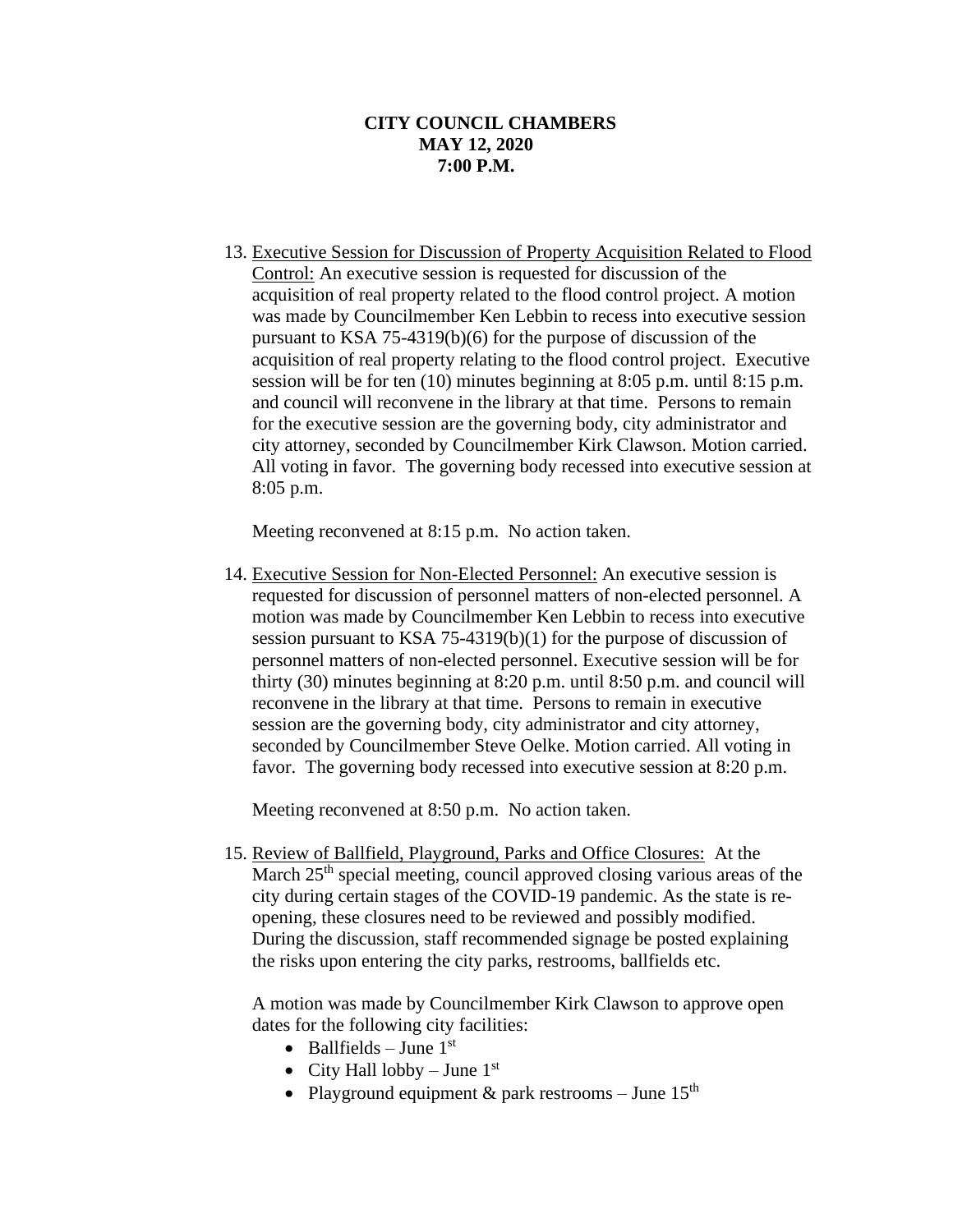13. Executive Session for Discussion of Property Acquisition Related to Flood Control: An executive session is requested for discussion of the acquisition of real property related to the flood control project. A motion was made by Councilmember Ken Lebbin to recess into executive session pursuant to KSA 75-4319(b)(6) for the purpose of discussion of the acquisition of real property relating to the flood control project. Executive session will be for ten (10) minutes beginning at 8:05 p.m. until 8:15 p.m. and council will reconvene in the library at that time. Persons to remain for the executive session are the governing body, city administrator and city attorney, seconded by Councilmember Kirk Clawson. Motion carried. All voting in favor. The governing body recessed into executive session at 8:05 p.m.

Meeting reconvened at 8:15 p.m. No action taken.

14. Executive Session for Non-Elected Personnel: An executive session is requested for discussion of personnel matters of non-elected personnel. A motion was made by Councilmember Ken Lebbin to recess into executive session pursuant to KSA 75-4319(b)(1) for the purpose of discussion of personnel matters of non-elected personnel. Executive session will be for thirty (30) minutes beginning at 8:20 p.m. until 8:50 p.m. and council will reconvene in the library at that time. Persons to remain in executive session are the governing body, city administrator and city attorney, seconded by Councilmember Steve Oelke. Motion carried. All voting in favor. The governing body recessed into executive session at 8:20 p.m.

Meeting reconvened at 8:50 p.m. No action taken.

15. Review of Ballfield, Playground, Parks and Office Closures: At the March 25<sup>th</sup> special meeting, council approved closing various areas of the city during certain stages of the COVID-19 pandemic. As the state is reopening, these closures need to be reviewed and possibly modified. During the discussion, staff recommended signage be posted explaining the risks upon entering the city parks, restrooms, ballfields etc.

A motion was made by Councilmember Kirk Clawson to approve open dates for the following city facilities:

- Ballfields June  $1<sup>st</sup>$
- City Hall lobby June  $1<sup>st</sup>$
- Playground equipment & park restrooms June  $15<sup>th</sup>$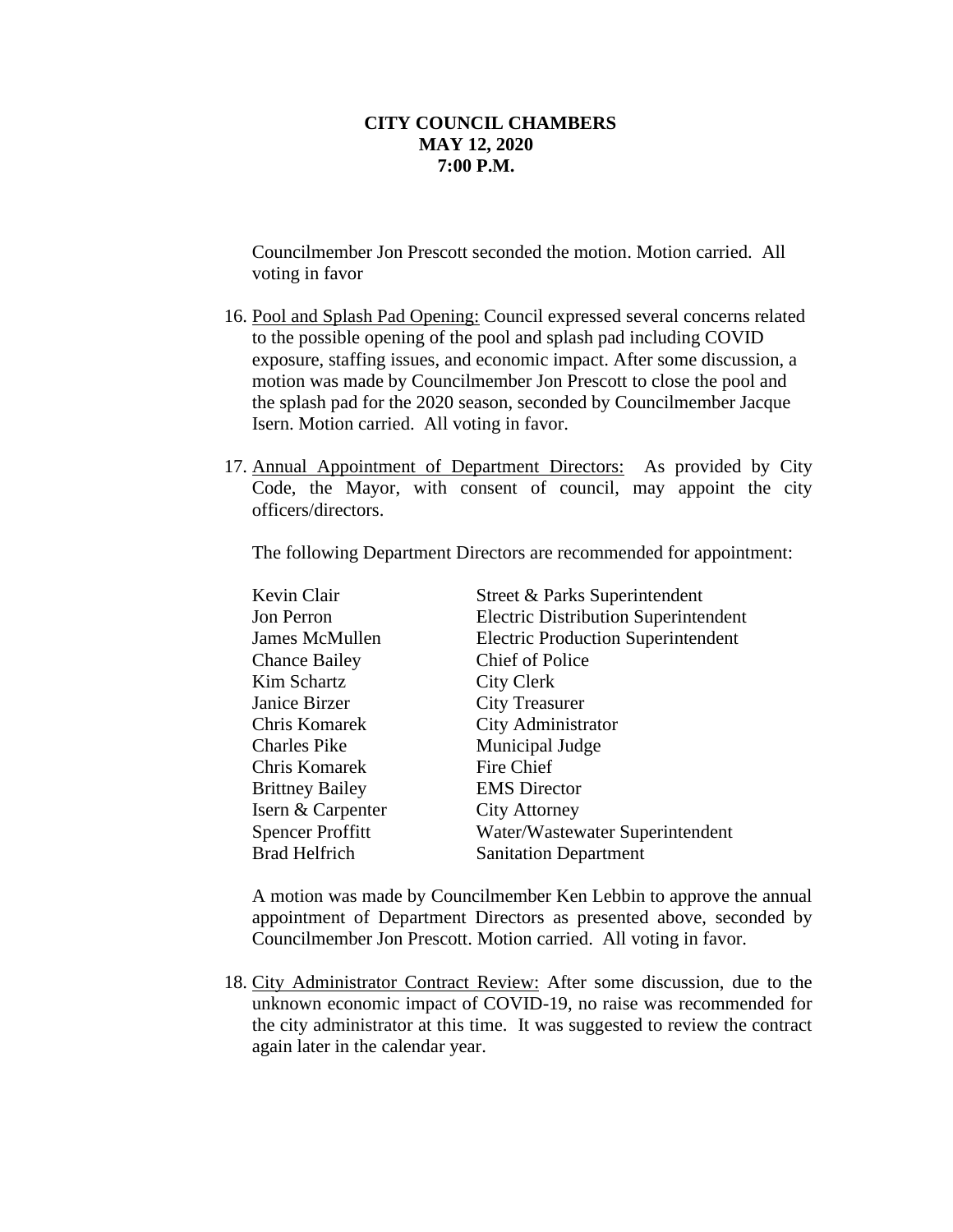Councilmember Jon Prescott seconded the motion. Motion carried. All voting in favor

- 16. Pool and Splash Pad Opening: Council expressed several concerns related to the possible opening of the pool and splash pad including COVID exposure, staffing issues, and economic impact. After some discussion, a motion was made by Councilmember Jon Prescott to close the pool and the splash pad for the 2020 season, seconded by Councilmember Jacque Isern. Motion carried. All voting in favor.
- 17. Annual Appointment of Department Directors: As provided by City Code, the Mayor, with consent of council, may appoint the city officers/directors.

The following Department Directors are recommended for appointment:

| Kevin Clair             | Street & Parks Superintendent               |
|-------------------------|---------------------------------------------|
| Jon Perron              | <b>Electric Distribution Superintendent</b> |
| James McMullen          | <b>Electric Production Superintendent</b>   |
| <b>Chance Bailey</b>    | <b>Chief of Police</b>                      |
| Kim Schartz             | <b>City Clerk</b>                           |
| Janice Birzer           | <b>City Treasurer</b>                       |
| Chris Komarek           | City Administrator                          |
| <b>Charles Pike</b>     | Municipal Judge                             |
| Chris Komarek           | Fire Chief                                  |
| <b>Brittney Bailey</b>  | <b>EMS</b> Director                         |
| Isern & Carpenter       | <b>City Attorney</b>                        |
| <b>Spencer Proffitt</b> | Water/Wastewater Superintendent             |
| <b>Brad Helfrich</b>    | <b>Sanitation Department</b>                |

A motion was made by Councilmember Ken Lebbin to approve the annual appointment of Department Directors as presented above, seconded by Councilmember Jon Prescott. Motion carried. All voting in favor.

18. City Administrator Contract Review: After some discussion, due to the unknown economic impact of COVID-19, no raise was recommended for the city administrator at this time. It was suggested to review the contract again later in the calendar year.